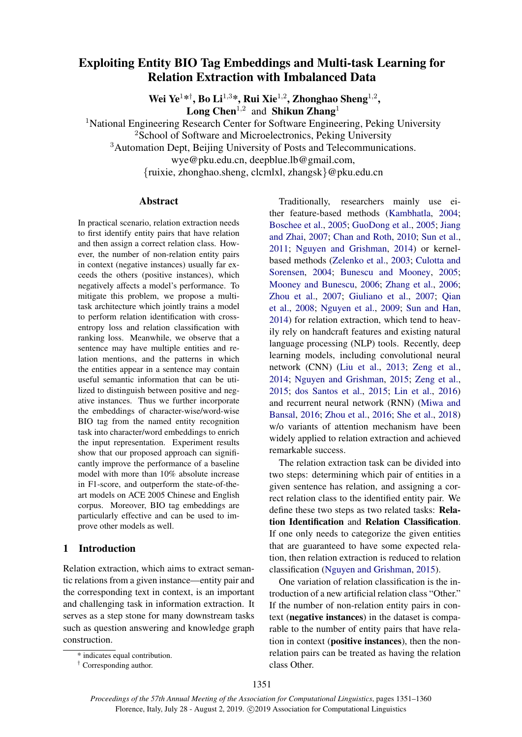# Exploiting Entity BIO Tag Embeddings and Multi-task Learning for Relation Extraction with Imbalanced Data

Wei Ye<sup>1\*†</sup>, Bo Li<sup>1,3\*</sup>, Rui Xie<sup>1,2</sup>, Zhonghao Sheng<sup>1,2</sup>, **Long Chen**<sup>1,2</sup> and **Shikun Zhang**<sup>1</sup>

<sup>1</sup>National Engineering Research Center for Software Engineering, Peking University

<sup>2</sup>School of Software and Microelectronics, Peking University

<sup>3</sup>Automation Dept, Beijing University of Posts and Telecommunications.

wye@pku.edu.cn, deepblue.lb@gmail.com,

{ruixie, zhonghao.sheng, clcmlxl, zhangsk}@pku.edu.cn

# Abstract

In practical scenario, relation extraction needs to first identify entity pairs that have relation and then assign a correct relation class. However, the number of non-relation entity pairs in context (negative instances) usually far exceeds the others (positive instances), which negatively affects a model's performance. To mitigate this problem, we propose a multitask architecture which jointly trains a model to perform relation identification with crossentropy loss and relation classification with ranking loss. Meanwhile, we observe that a sentence may have multiple entities and relation mentions, and the patterns in which the entities appear in a sentence may contain useful semantic information that can be utilized to distinguish between positive and negative instances. Thus we further incorporate the embeddings of character-wise/word-wise BIO tag from the named entity recognition task into character/word embeddings to enrich the input representation. Experiment results show that our proposed approach can significantly improve the performance of a baseline model with more than 10% absolute increase in F1-score, and outperform the state-of-theart models on ACE 2005 Chinese and English corpus. Moreover, BIO tag embeddings are particularly effective and can be used to improve other models as well.

# <span id="page-0-0"></span>1 Introduction

Relation extraction, which aims to extract semantic relations from a given instance—entity pair and the corresponding text in context, is an important and challenging task in information extraction. It serves as a step stone for many downstream tasks such as question answering and knowledge graph construction.

† Corresponding author.

Traditionally, researchers mainly use either feature-based methods [\(Kambhatla,](#page-8-0) [2004;](#page-8-0) [Boschee et al.,](#page-7-0) [2005;](#page-7-0) [GuoDong et al.,](#page-8-1) [2005;](#page-8-1) [Jiang](#page-8-2) [and Zhai,](#page-8-2) [2007;](#page-8-2) [Chan and Roth,](#page-7-1) [2010;](#page-7-1) [Sun et al.,](#page-9-0) [2011;](#page-9-0) [Nguyen and Grishman,](#page-8-3) [2014\)](#page-8-3) or kernelbased methods [\(Zelenko et al.,](#page-9-1) [2003;](#page-9-1) [Culotta and](#page-7-2) [Sorensen,](#page-7-2) [2004;](#page-7-2) [Bunescu and Mooney,](#page-7-3) [2005;](#page-7-3) [Mooney and Bunescu,](#page-8-4) [2006;](#page-8-4) [Zhang et al.,](#page-9-2) [2006;](#page-9-2) [Zhou et al.,](#page-9-3) [2007;](#page-9-3) [Giuliano et al.,](#page-8-5) [2007;](#page-8-5) [Qian](#page-8-6) [et al.,](#page-8-6) [2008;](#page-8-6) [Nguyen et al.,](#page-8-7) [2009;](#page-8-7) [Sun and Han,](#page-9-4) [2014\)](#page-9-4) for relation extraction, which tend to heavily rely on handcraft features and existing natural language processing (NLP) tools. Recently, deep learning models, including convolutional neural network (CNN) [\(Liu et al.,](#page-8-8) [2013;](#page-8-8) [Zeng et al.,](#page-9-5) [2014;](#page-9-5) [Nguyen and Grishman,](#page-8-9) [2015;](#page-8-9) [Zeng et al.,](#page-9-6) [2015;](#page-9-6) [dos Santos et al.,](#page-8-10) [2015;](#page-8-10) [Lin et al.,](#page-8-11) [2016\)](#page-8-11) and recurrent neural network (RNN) [\(Miwa and](#page-8-12) [Bansal,](#page-8-12) [2016;](#page-8-12) [Zhou et al.,](#page-9-7) [2016;](#page-9-7) [She et al.,](#page-8-13) [2018\)](#page-8-13) w/o variants of attention mechanism have been widely applied to relation extraction and achieved remarkable success.

The relation extraction task can be divided into two steps: determining which pair of entities in a given sentence has relation, and assigning a correct relation class to the identified entity pair. We define these two steps as two related tasks: Relation Identification and Relation Classification. If one only needs to categorize the given entities that are guaranteed to have some expected relation, then relation extraction is reduced to relation classification [\(Nguyen and Grishman,](#page-8-9) [2015\)](#page-8-9).

One variation of relation classification is the introduction of a new artificial relation class "Other." If the number of non-relation entity pairs in context (negative instances) in the dataset is comparable to the number of entity pairs that have relation in context (positive instances), then the nonrelation pairs can be treated as having the relation class Other.

<sup>\*</sup> indicates equal contribution.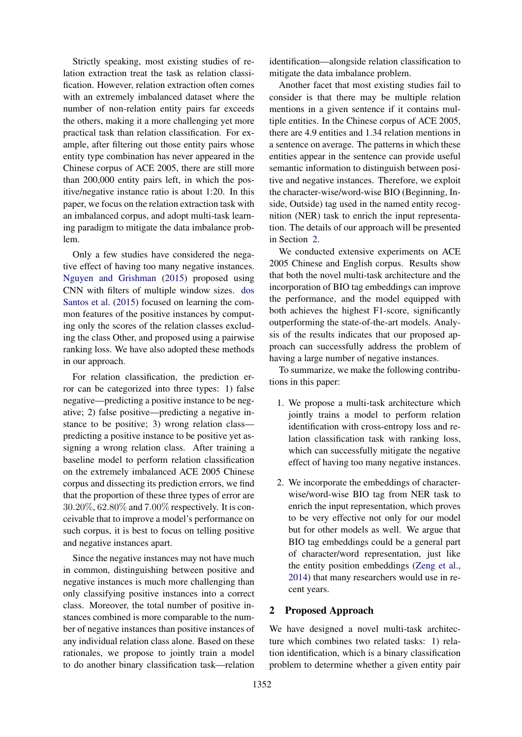Strictly speaking, most existing studies of relation extraction treat the task as relation classification. However, relation extraction often comes with an extremely imbalanced dataset where the number of non-relation entity pairs far exceeds the others, making it a more challenging yet more practical task than relation classification. For example, after filtering out those entity pairs whose entity type combination has never appeared in the Chinese corpus of ACE 2005, there are still more than 200,000 entity pairs left, in which the positive/negative instance ratio is about 1:20. In this paper, we focus on the relation extraction task with an imbalanced corpus, and adopt multi-task learning paradigm to mitigate the data imbalance problem.

Only a few studies have considered the negative effect of having too many negative instances. [Nguyen and Grishman](#page-8-9) [\(2015\)](#page-8-9) proposed using CNN with filters of multiple window sizes. [dos](#page-8-10) [Santos et al.](#page-8-10) [\(2015\)](#page-8-10) focused on learning the common features of the positive instances by computing only the scores of the relation classes excluding the class Other, and proposed using a pairwise ranking loss. We have also adopted these methods in our approach.

For relation classification, the prediction error can be categorized into three types: 1) false negative—predicting a positive instance to be negative; 2) false positive—predicting a negative instance to be positive; 3) wrong relation class predicting a positive instance to be positive yet assigning a wrong relation class. After training a baseline model to perform relation classification on the extremely imbalanced ACE 2005 Chinese corpus and dissecting its prediction errors, we find that the proportion of these three types of error are 30.20%, 62.80% and 7.00% respectively. It is conceivable that to improve a model's performance on such corpus, it is best to focus on telling positive and negative instances apart.

Since the negative instances may not have much in common, distinguishing between positive and negative instances is much more challenging than only classifying positive instances into a correct class. Moreover, the total number of positive instances combined is more comparable to the number of negative instances than positive instances of any individual relation class alone. Based on these rationales, we propose to jointly train a model to do another binary classification task—relation

identification—alongside relation classification to mitigate the data imbalance problem.

Another facet that most existing studies fail to consider is that there may be multiple relation mentions in a given sentence if it contains multiple entities. In the Chinese corpus of ACE 2005, there are 4.9 entities and 1.34 relation mentions in a sentence on average. The patterns in which these entities appear in the sentence can provide useful semantic information to distinguish between positive and negative instances. Therefore, we exploit the character-wise/word-wise BIO (Beginning, Inside, Outside) tag used in the named entity recognition (NER) task to enrich the input representation. The details of our approach will be presented in Section [2.](#page-1-0)

We conducted extensive experiments on ACE 2005 Chinese and English corpus. Results show that both the novel multi-task architecture and the incorporation of BIO tag embeddings can improve the performance, and the model equipped with both achieves the highest F1-score, significantly outperforming the state-of-the-art models. Analysis of the results indicates that our proposed approach can successfully address the problem of having a large number of negative instances.

To summarize, we make the following contributions in this paper:

- 1. We propose a multi-task architecture which jointly trains a model to perform relation identification with cross-entropy loss and relation classification task with ranking loss, which can successfully mitigate the negative effect of having too many negative instances.
- 2. We incorporate the embeddings of characterwise/word-wise BIO tag from NER task to enrich the input representation, which proves to be very effective not only for our model but for other models as well. We argue that BIO tag embeddings could be a general part of character/word representation, just like the entity position embeddings [\(Zeng et al.,](#page-9-5) [2014\)](#page-9-5) that many researchers would use in recent years.

# <span id="page-1-0"></span>2 Proposed Approach

We have designed a novel multi-task architecture which combines two related tasks: 1) relation identification, which is a binary classification problem to determine whether a given entity pair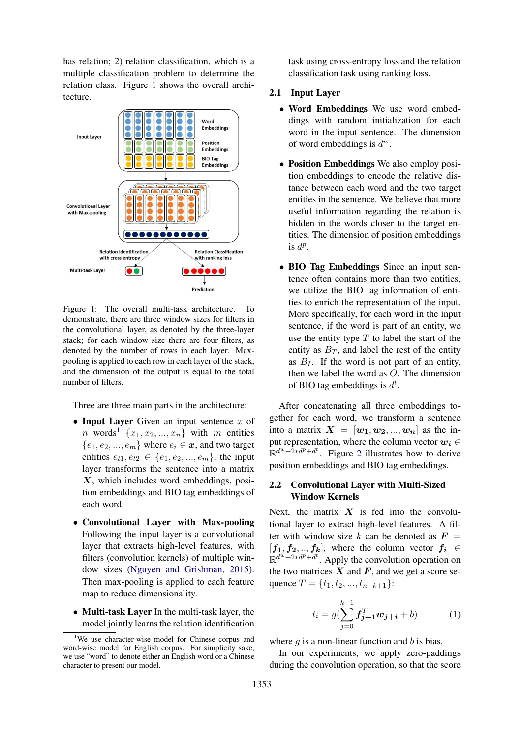has relation; 2) relation classification, which is a multiple classification problem to determine the relation class. Figure [1](#page-2-0) shows the overall architecture.

<span id="page-2-0"></span>

Figure 1: The overall multi-task architecture. To demonstrate, there are three window sizes for filters in the convolutional layer, as denoted by the three-layer stack; for each window size there are four filters, as denoted by the number of rows in each layer. Maxpooling is applied to each row in each layer of the stack, and the dimension of the output is equal to the total number of filters.

Three are three main parts in the architecture:

- Input Layer Given an input sentence  $x$  of *n* words<sup>[1](#page-2-1)</sup>  $\{x_1, x_2, ..., x_n\}$  with *m* entities  ${e_1, e_2, ..., e_m}$  where  $e_i \in \mathbf{x}$ , and two target entities  $e_{t1}, e_{t2} \in \{e_1, e_2, ..., e_m\}$ , the input layer transforms the sentence into a matrix X, which includes word embeddings, position embeddings and BIO tag embeddings of each word.
- Convolutional Layer with Max-pooling Following the input layer is a convolutional layer that extracts high-level features, with filters (convolution kernels) of multiple window sizes [\(Nguyen and Grishman,](#page-8-9) [2015\)](#page-8-9). Then max-pooling is applied to each feature map to reduce dimensionality.
- Multi-task Layer In the multi-task layer, the model jointly learns the relation identification

task using cross-entropy loss and the relation classification task using ranking loss.

# 2.1 Input Layer

- Word Embeddings We use word embeddings with random initialization for each word in the input sentence. The dimension of word embeddings is  $d^w$ .
- Position Embeddings We also employ position embeddings to encode the relative distance between each word and the two target entities in the sentence. We believe that more useful information regarding the relation is hidden in the words closer to the target entities. The dimension of position embeddings is  $d^p$ .
- BIO Tag Embeddings Since an input sentence often contains more than two entities, we utilize the BIO tag information of entities to enrich the representation of the input. More specifically, for each word in the input sentence, if the word is part of an entity, we use the entity type  $T$  to label the start of the entity as  $B_T$ , and label the rest of the entity as  $B_I$ . If the word is not part of an entity, then we label the word as O. The dimension of BIO tag embeddings is  $d^t$ .

After concatenating all three embeddings together for each word, we transform a sentence into a matrix  $X = [w_1, w_2, ..., w_n]$  as the input representation, where the column vector  $w_i \in$  $\mathbb{R}^{d^w + 2 * d^p + d^t}$  $\mathbb{R}^{d^w + 2 * d^p + d^t}$  $\mathbb{R}^{d^w + 2 * d^p + d^t}$ . Figure 2 illustrates how to derive position embeddings and BIO tag embeddings.

# 2.2 Convolutional Layer with Multi-Sized Window Kernels

Next, the matrix  $X$  is fed into the convolutional layer to extract high-level features. A filter with window size k can be denoted as  $\mathbf{F} =$  $[f_1, f_2, ..., f_k]$ , where the column vector  $f_i \in$  $\mathbb{R}^{d^w+2*d^p+d^t}$ . Apply the convolution operation on the two matrices  $X$  and  $F$ , and we get a score sequence  $T = \{t_1, t_2, ..., t_{n-k+1}\}$ :

<span id="page-2-2"></span>
$$
t_i = g(\sum_{j=0}^{k-1} f_{j+1}^T w_{j+i} + b)
$$
 (1)

where  $g$  is a non-linear function and  $b$  is bias.

In our experiments, we apply zero-paddings during the convolution operation, so that the score

<span id="page-2-1"></span><sup>&</sup>lt;sup>1</sup>We use character-wise model for Chinese corpus and word-wise model for English corpus. For simplicity sake, we use "word" to denote either an English word or a Chinese character to present our model.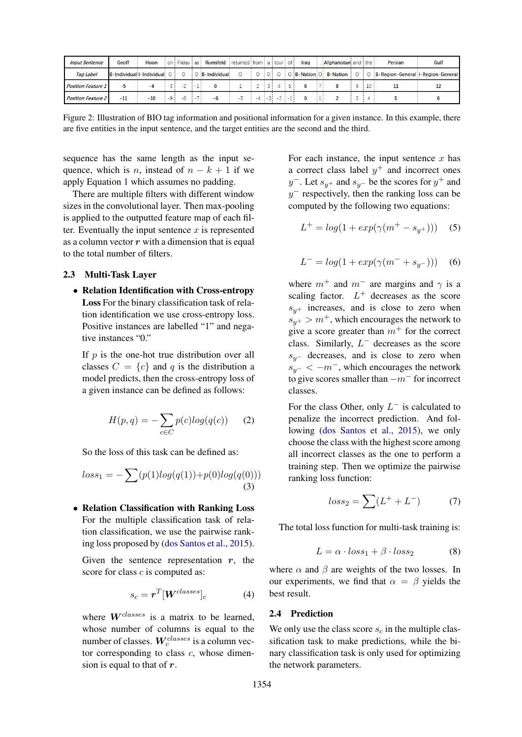<span id="page-3-0"></span>

| <b>Input Sentence</b>     | Geoff                     | Hoon  | on   | Friday as | Rumsfeld            | returned from a tour of |        |     | Irag              | Afghanistan and the |    | <b>Persian</b>                    | Gulf |
|---------------------------|---------------------------|-------|------|-----------|---------------------|-------------------------|--------|-----|-------------------|---------------------|----|-----------------------------------|------|
| <b>Tag Label</b>          | B-Individual I-Individual |       |      |           | $O$ $B$ -Individual |                         |        |     | <b>B-Nation O</b> | <b>B-Nation</b>     |    | B-Region-General I-Region-General |      |
| <b>Position Feature 1</b> | -5                        | -4    | $-3$ |           |                     |                         |        |     |                   |                     | 10 |                                   |      |
| <b>Position Feature 2</b> | $-11$                     | $-10$ | -9   |           |                     |                         | $ -3 $ | - 1 |                   |                     |    |                                   |      |

Figure 2: Illustration of BIO tag information and positional information for a given instance. In this example, there are five entities in the input sentence, and the target entities are the second and the third.

sequence has the same length as the input sequence, which is n, instead of  $n - k + 1$  if we apply Equation [1](#page-2-2) which assumes no padding.

There are multiple filters with different window sizes in the convolutional layer. Then max-pooling is applied to the outputted feature map of each filter. Eventually the input sentence  $x$  is represented as a column vector  $r$  with a dimension that is equal to the total number of filters.

### 2.3 Multi-Task Layer

• Relation Identification with Cross-entropy Loss For the binary classification task of relation identification we use cross-entropy loss. Positive instances are labelled "1" and negative instances "0."

If  $p$  is the one-hot true distribution over all classes  $C = \{c\}$  and q is the distribution a model predicts, then the cross-entropy loss of a given instance can be defined as follows:

$$
H(p,q) = -\sum_{c \in C} p(c) \log(q(c)) \qquad (2)
$$

So the loss of this task can be defined as:

$$
loss_1 = -\sum (p(1)log(q(1)) + p(0)log(q(0)))
$$
\n(3)

• Relation Classification with Ranking Loss For the multiple classification task of relation classification, we use the pairwise ranking loss proposed by [\(dos Santos et al.,](#page-8-10) [2015\)](#page-8-10).

Given the sentence representation  $r$ , the score for class c is computed as:

$$
s_c = \boldsymbol{r}^T [\boldsymbol{W}^{classes}]_c \tag{4}
$$

where  $W^{classes}$  is a matrix to be learned, whose number of columns is equal to the number of classes.  $W_c^{classes}$  is a column vector corresponding to class  $c$ , whose dimension is equal to that of  $r$ .

For each instance, the input sentence  $x$  has a correct class label  $y^{+}$  and incorrect ones  $y^-$ . Let  $s_{y^+}$  and  $s_{y^-}$  be the scores for  $y^+$  and  $y^-$  respectively, then the ranking loss can be computed by the following two equations:

$$
L^{+} = log(1 + exp(\gamma(m^{+} - s_{y^{+}})))
$$
 (5)

$$
L^{-} = log(1 + exp(\gamma(m^{-} + s_{y^{-}})))
$$
 (6)

where  $m^+$  and  $m^-$  are margins and  $\gamma$  is a scaling factor.  $L^+$  decreases as the score  $s_{y+}$  increases, and is close to zero when  $s_{y+} > m^+$ , which encourages the network to give a score greater than  $m^+$  for the correct class. Similarly,  $L^-$  decreases as the score  $s_{y-}$  decreases, and is close to zero when  $s_{y-} < -m^-$ , which encourages the network to give scores smaller than  $-m^-$  for incorrect classes.

For the class Other, only  $L^-$  is calculated to penalize the incorrect prediction. And following [\(dos Santos et al.,](#page-8-10) [2015\)](#page-8-10), we only choose the class with the highest score among all incorrect classes as the one to perform a training step. Then we optimize the pairwise ranking loss function:

$$
loss_2 = \sum (L^+ + L^-) \tag{7}
$$

The total loss function for multi-task training is:

$$
L = \alpha \cdot loss_1 + \beta \cdot loss_2 \tag{8}
$$

where  $\alpha$  and  $\beta$  are weights of the two losses. In our experiments, we find that  $\alpha = \beta$  yields the best result.

#### 2.4 Prediction

We only use the class score  $s_c$  in the multiple classification task to make predictions, while the binary classification task is only used for optimizing the network parameters.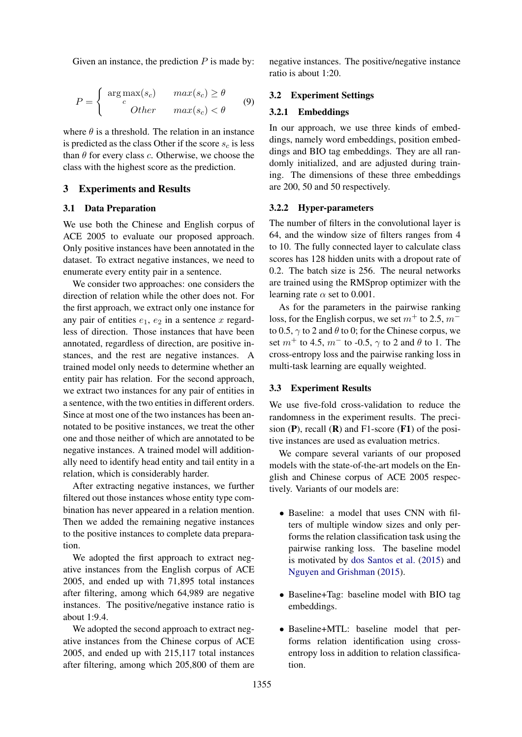Given an instance, the prediction  $P$  is made by:

$$
P = \begin{cases} \arg \max(s_c) & \max(s_c) \ge \theta \\ c & \text{other} \\ 0 & \max(s_c) < \theta \end{cases}
$$
 (9)

where  $\theta$  is a threshold. The relation in an instance is predicted as the class Other if the score  $s_c$  is less than  $\theta$  for every class c. Otherwise, we choose the class with the highest score as the prediction.

# 3 Experiments and Results

### 3.1 Data Preparation

We use both the Chinese and English corpus of ACE 2005 to evaluate our proposed approach. Only positive instances have been annotated in the dataset. To extract negative instances, we need to enumerate every entity pair in a sentence.

We consider two approaches: one considers the direction of relation while the other does not. For the first approach, we extract only one instance for any pair of entities  $e_1, e_2$  in a sentence x regardless of direction. Those instances that have been annotated, regardless of direction, are positive instances, and the rest are negative instances. A trained model only needs to determine whether an entity pair has relation. For the second approach, we extract two instances for any pair of entities in a sentence, with the two entities in different orders. Since at most one of the two instances has been annotated to be positive instances, we treat the other one and those neither of which are annotated to be negative instances. A trained model will additionally need to identify head entity and tail entity in a relation, which is considerably harder.

After extracting negative instances, we further filtered out those instances whose entity type combination has never appeared in a relation mention. Then we added the remaining negative instances to the positive instances to complete data preparation.

We adopted the first approach to extract negative instances from the English corpus of ACE 2005, and ended up with 71,895 total instances after filtering, among which 64,989 are negative instances. The positive/negative instance ratio is about 1:9.4.

We adopted the second approach to extract negative instances from the Chinese corpus of ACE 2005, and ended up with 215,117 total instances after filtering, among which 205,800 of them are

negative instances. The positive/negative instance ratio is about 1:20.

# 3.2 Experiment Settings

#### 3.2.1 Embeddings

In our approach, we use three kinds of embeddings, namely word embeddings, position embeddings and BIO tag embeddings. They are all randomly initialized, and are adjusted during training. The dimensions of these three embeddings are 200, 50 and 50 respectively.

#### 3.2.2 Hyper-parameters

The number of filters in the convolutional layer is 64, and the window size of filters ranges from 4 to 10. The fully connected layer to calculate class scores has 128 hidden units with a dropout rate of 0.2. The batch size is 256. The neural networks are trained using the RMSprop optimizer with the learning rate  $\alpha$  set to 0.001.

As for the parameters in the pairwise ranking loss, for the English corpus, we set  $m^+$  to 2.5,  $m^$ to 0.5,  $\gamma$  to 2 and  $\theta$  to 0; for the Chinese corpus, we set  $m^{+}$  to 4.5,  $m^{-}$  to -0.5,  $\gamma$  to 2 and  $\theta$  to 1. The cross-entropy loss and the pairwise ranking loss in multi-task learning are equally weighted.

# 3.3 Experiment Results

We use five-fold cross-validation to reduce the randomness in the experiment results. The precision  $(P)$ , recall  $(R)$  and F1-score  $(F1)$  of the positive instances are used as evaluation metrics.

We compare several variants of our proposed models with the state-of-the-art models on the English and Chinese corpus of ACE 2005 respectively. Variants of our models are:

- Baseline: a model that uses CNN with filters of multiple window sizes and only performs the relation classification task using the pairwise ranking loss. The baseline model is motivated by [dos Santos et al.](#page-8-10) [\(2015\)](#page-8-10) and [Nguyen and Grishman](#page-8-9) [\(2015\)](#page-8-9).
- Baseline+Tag: baseline model with BIO tag embeddings.
- Baseline+MTL: baseline model that performs relation identification using crossentropy loss in addition to relation classification.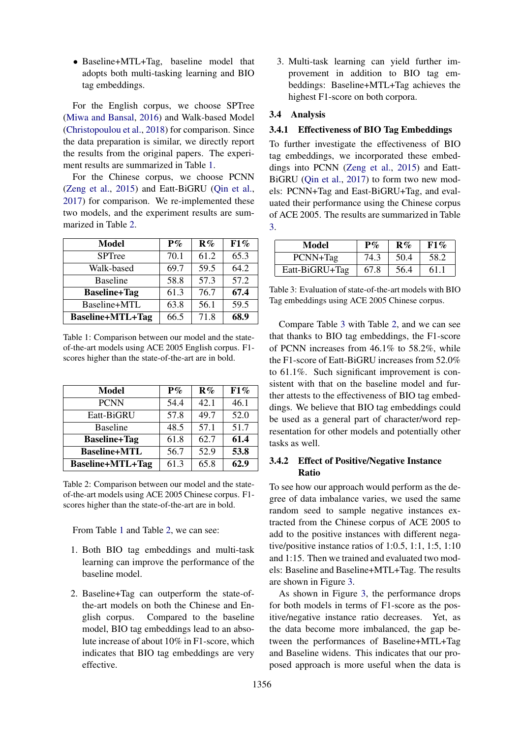• Baseline+MTL+Tag, baseline model that adopts both multi-tasking learning and BIO tag embeddings.

For the English corpus, we choose SPTree [\(Miwa and Bansal,](#page-8-12) [2016\)](#page-8-12) and Walk-based Model [\(Christopoulou et al.,](#page-7-4) [2018\)](#page-7-4) for comparison. Since the data preparation is similar, we directly report the results from the original papers. The experiment results are summarized in Table [1.](#page-5-0)

For the Chinese corpus, we choose PCNN [\(Zeng et al.,](#page-9-6) [2015\)](#page-9-6) and Eatt-BiGRU [\(Qin et al.,](#page-8-14) [2017\)](#page-8-14) for comparison. We re-implemented these two models, and the experiment results are summarized in Table [2.](#page-5-1)

<span id="page-5-0"></span>

| Model                   | $P\%$ | R%   | F1%  |
|-------------------------|-------|------|------|
| <b>SPTree</b>           | 70.1  | 61.2 | 65.3 |
| Walk-based              | 69.7  | 59.5 | 64.2 |
| <b>Baseline</b>         | 58.8  | 57.3 | 57.2 |
| <b>Baseline+Tag</b>     | 61.3  | 76.7 | 67.4 |
| Baseline+MTL            | 63.8  | 56.1 | 59.5 |
| <b>Baseline+MTL+Tag</b> | 66.5  | 71.8 | 68.9 |

Table 1: Comparison between our model and the stateof-the-art models using ACE 2005 English corpus. F1 scores higher than the state-of-the-art are in bold.

<span id="page-5-1"></span>

| Model                   | $P\%$ | R%   | F1%  |
|-------------------------|-------|------|------|
| <b>PCNN</b>             | 54.4  | 42.1 | 46.1 |
| Eatt-BiGRU              | 57.8  | 49.7 | 52.0 |
| <b>Baseline</b>         | 48.5  | 57.1 | 51.7 |
| <b>Baseline+Tag</b>     | 61.8  | 62.7 | 61.4 |
| <b>Baseline+MTL</b>     | 56.7  | 52.9 | 53.8 |
| <b>Baseline+MTL+Tag</b> | 61.3  | 65.8 | 62.9 |

Table 2: Comparison between our model and the stateof-the-art models using ACE 2005 Chinese corpus. F1 scores higher than the state-of-the-art are in bold.

From Table [1](#page-5-0) and Table [2,](#page-5-1) we can see:

- 1. Both BIO tag embeddings and multi-task learning can improve the performance of the baseline model.
- 2. Baseline+Tag can outperform the state-ofthe-art models on both the Chinese and English corpus. Compared to the baseline model, BIO tag embeddings lead to an absolute increase of about 10% in F1-score, which indicates that BIO tag embeddings are very effective.

3. Multi-task learning can yield further improvement in addition to BIO tag embeddings: Baseline+MTL+Tag achieves the highest F1-score on both corpora.

# 3.4 Analysis

# 3.4.1 Effectiveness of BIO Tag Embeddings

To further investigate the effectiveness of BIO tag embeddings, we incorporated these embeddings into PCNN [\(Zeng et al.,](#page-9-6) [2015\)](#page-9-6) and Eatt-BiGRU [\(Qin et al.,](#page-8-14) [2017\)](#page-8-14) to form two new models: PCNN+Tag and East-BiGRU+Tag, and evaluated their performance using the Chinese corpus of ACE 2005. The results are summarized in Table [3.](#page-5-2)

<span id="page-5-2"></span>

| Model          | $P\%$ | $\mathbf{R}\%$ | F1%  |
|----------------|-------|----------------|------|
| PCNN+Tag       | 74.3  | 50.4           | 58.2 |
| Eatt-BiGRU+Tag | 67.8  | 56.4           | 61.1 |

Table 3: Evaluation of state-of-the-art models with BIO Tag embeddings using ACE 2005 Chinese corpus.

Compare Table [3](#page-5-2) with Table [2,](#page-5-1) and we can see that thanks to BIO tag embeddings, the F1-score of PCNN increases from 46.1% to 58.2%, while the F1-score of Eatt-BiGRU increases from 52.0% to 61.1%. Such significant improvement is consistent with that on the baseline model and further attests to the effectiveness of BIO tag embeddings. We believe that BIO tag embeddings could be used as a general part of character/word representation for other models and potentially other tasks as well.

# 3.4.2 Effect of Positive/Negative Instance Ratio

To see how our approach would perform as the degree of data imbalance varies, we used the same random seed to sample negative instances extracted from the Chinese corpus of ACE 2005 to add to the positive instances with different negative/positive instance ratios of 1:0.5, 1:1, 1:5, 1:10 and 1:15. Then we trained and evaluated two models: Baseline and Baseline+MTL+Tag. The results are shown in Figure [3.](#page-6-0)

As shown in Figure [3,](#page-6-0) the performance drops for both models in terms of F1-score as the positive/negative instance ratio decreases. Yet, as the data become more imbalanced, the gap between the performances of Baseline+MTL+Tag and Baseline widens. This indicates that our proposed approach is more useful when the data is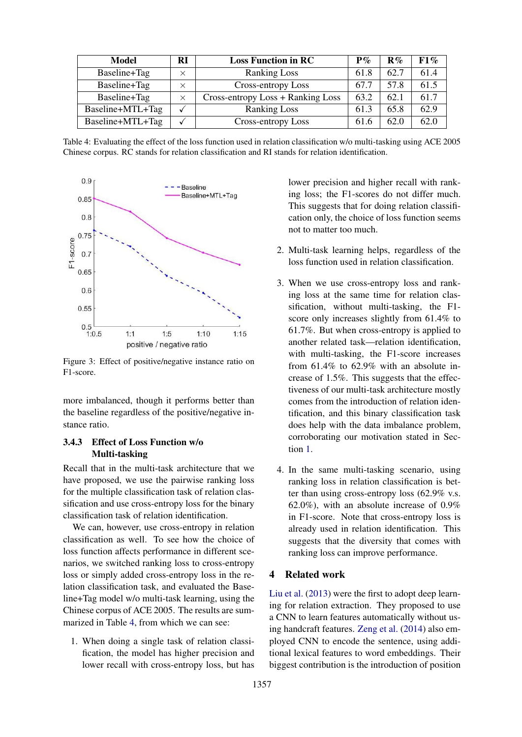<span id="page-6-1"></span>

| Model            | RI       | <b>Loss Function in RC</b>        | ${\bf P}\%$ | $R\%$ | $F1\%$ |
|------------------|----------|-----------------------------------|-------------|-------|--------|
| Baseline+Tag     | $\times$ | <b>Ranking Loss</b>               | 61.8        | 62.7  | 61.4   |
| Baseline+Tag     | $\times$ | Cross-entropy Loss                | 67.7        | 57.8  | 61.5   |
| Baseline+Tag     | $\times$ | Cross-entropy Loss + Ranking Loss | 63.2        | 62.1  | 61.7   |
| Baseline+MTL+Tag |          | <b>Ranking Loss</b>               | 61.3        | 65.8  | 62.9   |
| Baseline+MTL+Tag |          | Cross-entropy Loss                | 61.6        | 62.0  | 62.0   |

Table 4: Evaluating the effect of the loss function used in relation classification w/o multi-tasking using ACE 2005 Chinese corpus. RC stands for relation classification and RI stands for relation identification.

<span id="page-6-0"></span>

Figure 3: Effect of positive/negative instance ratio on F1-score.

more imbalanced, though it performs better than the baseline regardless of the positive/negative instance ratio.

# 3.4.3 Effect of Loss Function w/o Multi-tasking

Recall that in the multi-task architecture that we have proposed, we use the pairwise ranking loss for the multiple classification task of relation classification and use cross-entropy loss for the binary classification task of relation identification.

We can, however, use cross-entropy in relation classification as well. To see how the choice of loss function affects performance in different scenarios, we switched ranking loss to cross-entropy loss or simply added cross-entropy loss in the relation classification task, and evaluated the Baseline+Tag model w/o multi-task learning, using the Chinese corpus of ACE 2005. The results are summarized in Table [4,](#page-6-1) from which we can see:

1. When doing a single task of relation classification, the model has higher precision and lower recall with cross-entropy loss, but has

lower precision and higher recall with ranking loss; the F1-scores do not differ much. This suggests that for doing relation classification only, the choice of loss function seems not to matter too much.

- 2. Multi-task learning helps, regardless of the loss function used in relation classification.
- 3. When we use cross-entropy loss and ranking loss at the same time for relation classification, without multi-tasking, the F1 score only increases slightly from 61.4% to 61.7%. But when cross-entropy is applied to another related task—relation identification, with multi-tasking, the F1-score increases from 61.4% to 62.9% with an absolute increase of 1.5%. This suggests that the effectiveness of our multi-task architecture mostly comes from the introduction of relation identification, and this binary classification task does help with the data imbalance problem, corroborating our motivation stated in Section [1.](#page-0-0)
- 4. In the same multi-tasking scenario, using ranking loss in relation classification is better than using cross-entropy loss (62.9% v.s. 62.0%), with an absolute increase of 0.9% in F1-score. Note that cross-entropy loss is already used in relation identification. This suggests that the diversity that comes with ranking loss can improve performance.

# 4 Related work

[Liu et al.](#page-8-8) [\(2013\)](#page-8-8) were the first to adopt deep learning for relation extraction. They proposed to use a CNN to learn features automatically without using handcraft features. [Zeng et al.](#page-9-5) [\(2014\)](#page-9-5) also employed CNN to encode the sentence, using additional lexical features to word embeddings. Their biggest contribution is the introduction of position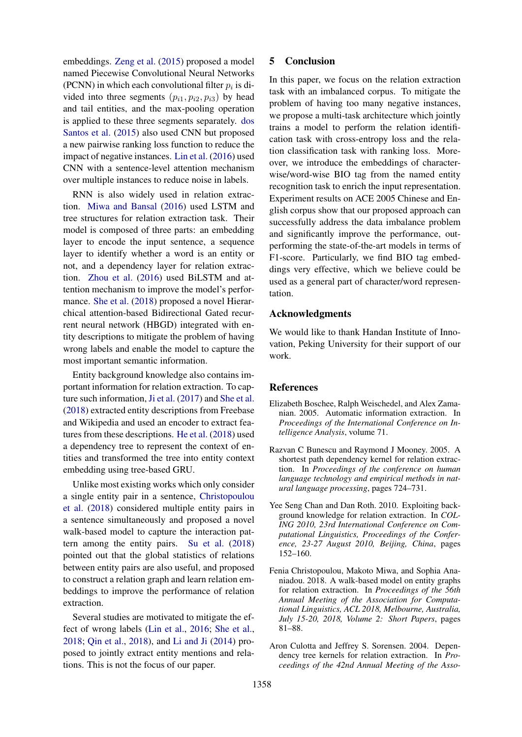embeddings. [Zeng et al.](#page-9-6) [\(2015\)](#page-9-6) proposed a model named Piecewise Convolutional Neural Networks (PCNN) in which each convolutional filter  $p_i$  is divided into three segments  $(p_{i1}, p_{i2}, p_{i3})$  by head and tail entities, and the max-pooling operation is applied to these three segments separately. [dos](#page-8-10) [Santos et al.](#page-8-10) [\(2015\)](#page-8-10) also used CNN but proposed a new pairwise ranking loss function to reduce the impact of negative instances. [Lin et al.](#page-8-11) [\(2016\)](#page-8-11) used CNN with a sentence-level attention mechanism over multiple instances to reduce noise in labels.

RNN is also widely used in relation extraction. [Miwa and Bansal](#page-8-12) [\(2016\)](#page-8-12) used LSTM and tree structures for relation extraction task. Their model is composed of three parts: an embedding layer to encode the input sentence, a sequence layer to identify whether a word is an entity or not, and a dependency layer for relation extraction. [Zhou et al.](#page-9-7) [\(2016\)](#page-9-7) used BiLSTM and attention mechanism to improve the model's performance. [She et al.](#page-8-13) [\(2018\)](#page-8-13) proposed a novel Hierarchical attention-based Bidirectional Gated recurrent neural network (HBGD) integrated with entity descriptions to mitigate the problem of having wrong labels and enable the model to capture the most important semantic information.

Entity background knowledge also contains important information for relation extraction. To capture such information, [Ji et al.](#page-8-15) [\(2017\)](#page-8-15) and [She et al.](#page-8-13) [\(2018\)](#page-8-13) extracted entity descriptions from Freebase and Wikipedia and used an encoder to extract features from these descriptions. [He et al.](#page-8-16) [\(2018\)](#page-8-16) used a dependency tree to represent the context of entities and transformed the tree into entity context embedding using tree-based GRU.

Unlike most existing works which only consider a single entity pair in a sentence, [Christopoulou](#page-7-4) [et al.](#page-7-4) [\(2018\)](#page-7-4) considered multiple entity pairs in a sentence simultaneously and proposed a novel walk-based model to capture the interaction pattern among the entity pairs. [Su et al.](#page-9-8) [\(2018\)](#page-9-8) pointed out that the global statistics of relations between entity pairs are also useful, and proposed to construct a relation graph and learn relation embeddings to improve the performance of relation extraction.

Several studies are motivated to mitigate the effect of wrong labels [\(Lin et al.,](#page-8-11) [2016;](#page-8-11) [She et al.,](#page-8-13) [2018;](#page-8-13) [Qin et al.,](#page-8-17) [2018\)](#page-8-17), and [Li and Ji](#page-8-18) [\(2014\)](#page-8-18) proposed to jointly extract entity mentions and relations. This is not the focus of our paper.

### 5 Conclusion

In this paper, we focus on the relation extraction task with an imbalanced corpus. To mitigate the problem of having too many negative instances, we propose a multi-task architecture which jointly trains a model to perform the relation identification task with cross-entropy loss and the relation classification task with ranking loss. Moreover, we introduce the embeddings of characterwise/word-wise BIO tag from the named entity recognition task to enrich the input representation. Experiment results on ACE 2005 Chinese and English corpus show that our proposed approach can successfully address the data imbalance problem and significantly improve the performance, outperforming the state-of-the-art models in terms of F1-score. Particularly, we find BIO tag embeddings very effective, which we believe could be used as a general part of character/word representation.

### Acknowledgments

We would like to thank Handan Institute of Innovation, Peking University for their support of our work.

### References

- <span id="page-7-0"></span>Elizabeth Boschee, Ralph Weischedel, and Alex Zamanian. 2005. Automatic information extraction. In *Proceedings of the International Conference on Intelligence Analysis*, volume 71.
- <span id="page-7-3"></span>Razvan C Bunescu and Raymond J Mooney. 2005. A shortest path dependency kernel for relation extraction. In *Proceedings of the conference on human language technology and empirical methods in natural language processing*, pages 724–731.
- <span id="page-7-1"></span>Yee Seng Chan and Dan Roth. 2010. Exploiting background knowledge for relation extraction. In *COL-ING 2010, 23rd International Conference on Computational Linguistics, Proceedings of the Conference, 23-27 August 2010, Beijing, China*, pages 152–160.
- <span id="page-7-4"></span>Fenia Christopoulou, Makoto Miwa, and Sophia Ananiadou. 2018. A walk-based model on entity graphs for relation extraction. In *Proceedings of the 56th Annual Meeting of the Association for Computational Linguistics, ACL 2018, Melbourne, Australia, July 15-20, 2018, Volume 2: Short Papers*, pages 81–88.
- <span id="page-7-2"></span>Aron Culotta and Jeffrey S. Sorensen. 2004. Dependency tree kernels for relation extraction. In *Proceedings of the 42nd Annual Meeting of the Asso-*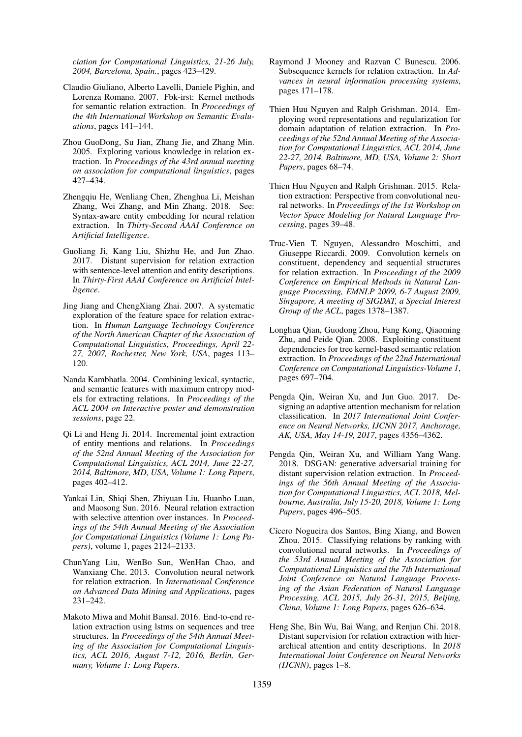*ciation for Computational Linguistics, 21-26 July, 2004, Barcelona, Spain.*, pages 423–429.

- <span id="page-8-5"></span>Claudio Giuliano, Alberto Lavelli, Daniele Pighin, and Lorenza Romano. 2007. Fbk-irst: Kernel methods for semantic relation extraction. In *Proceedings of the 4th International Workshop on Semantic Evaluations*, pages 141–144.
- <span id="page-8-1"></span>Zhou GuoDong, Su Jian, Zhang Jie, and Zhang Min. 2005. Exploring various knowledge in relation extraction. In *Proceedings of the 43rd annual meeting on association for computational linguistics*, pages 427–434.
- <span id="page-8-16"></span>Zhengqiu He, Wenliang Chen, Zhenghua Li, Meishan Zhang, Wei Zhang, and Min Zhang. 2018. See: Syntax-aware entity embedding for neural relation extraction. In *Thirty-Second AAAI Conference on Artificial Intelligence*.
- <span id="page-8-15"></span>Guoliang Ji, Kang Liu, Shizhu He, and Jun Zhao. 2017. Distant supervision for relation extraction with sentence-level attention and entity descriptions. In *Thirty-First AAAI Conference on Artificial Intelligence*.
- <span id="page-8-2"></span>Jing Jiang and ChengXiang Zhai. 2007. A systematic exploration of the feature space for relation extraction. In *Human Language Technology Conference of the North American Chapter of the Association of Computational Linguistics, Proceedings, April 22- 27, 2007, Rochester, New York, USA*, pages 113– 120.
- <span id="page-8-0"></span>Nanda Kambhatla. 2004. Combining lexical, syntactic, and semantic features with maximum entropy models for extracting relations. In *Proceedings of the ACL 2004 on Interactive poster and demonstration sessions*, page 22.
- <span id="page-8-18"></span>Qi Li and Heng Ji. 2014. Incremental joint extraction of entity mentions and relations. In *Proceedings of the 52nd Annual Meeting of the Association for Computational Linguistics, ACL 2014, June 22-27, 2014, Baltimore, MD, USA, Volume 1: Long Papers*, pages 402–412.
- <span id="page-8-11"></span>Yankai Lin, Shiqi Shen, Zhiyuan Liu, Huanbo Luan, and Maosong Sun. 2016. Neural relation extraction with selective attention over instances. In *Proceedings of the 54th Annual Meeting of the Association for Computational Linguistics (Volume 1: Long Papers)*, volume 1, pages 2124–2133.
- <span id="page-8-8"></span>ChunYang Liu, WenBo Sun, WenHan Chao, and Wanxiang Che. 2013. Convolution neural network for relation extraction. In *International Conference on Advanced Data Mining and Applications*, pages 231–242.
- <span id="page-8-12"></span>Makoto Miwa and Mohit Bansal. 2016. End-to-end relation extraction using lstms on sequences and tree structures. In *Proceedings of the 54th Annual Meeting of the Association for Computational Linguistics, ACL 2016, August 7-12, 2016, Berlin, Germany, Volume 1: Long Papers*.
- <span id="page-8-4"></span>Raymond J Mooney and Razvan C Bunescu. 2006. Subsequence kernels for relation extraction. In *Advances in neural information processing systems*, pages 171–178.
- <span id="page-8-3"></span>Thien Huu Nguyen and Ralph Grishman. 2014. Employing word representations and regularization for domain adaptation of relation extraction. In *Proceedings of the 52nd Annual Meeting of the Association for Computational Linguistics, ACL 2014, June 22-27, 2014, Baltimore, MD, USA, Volume 2: Short Papers*, pages 68–74.
- <span id="page-8-9"></span>Thien Huu Nguyen and Ralph Grishman. 2015. Relation extraction: Perspective from convolutional neural networks. In *Proceedings of the 1st Workshop on Vector Space Modeling for Natural Language Processing*, pages 39–48.
- <span id="page-8-7"></span>Truc-Vien T. Nguyen, Alessandro Moschitti, and Giuseppe Riccardi. 2009. Convolution kernels on constituent, dependency and sequential structures for relation extraction. In *Proceedings of the 2009 Conference on Empirical Methods in Natural Language Processing, EMNLP 2009, 6-7 August 2009, Singapore, A meeting of SIGDAT, a Special Interest Group of the ACL*, pages 1378–1387.
- <span id="page-8-6"></span>Longhua Qian, Guodong Zhou, Fang Kong, Qiaoming Zhu, and Peide Qian. 2008. Exploiting constituent dependencies for tree kernel-based semantic relation extraction. In *Proceedings of the 22nd International Conference on Computational Linguistics-Volume 1*, pages 697–704.
- <span id="page-8-14"></span>Pengda Qin, Weiran Xu, and Jun Guo. 2017. Designing an adaptive attention mechanism for relation classification. In *2017 International Joint Conference on Neural Networks, IJCNN 2017, Anchorage, AK, USA, May 14-19, 2017*, pages 4356–4362.
- <span id="page-8-17"></span>Pengda Qin, Weiran Xu, and William Yang Wang. 2018. DSGAN: generative adversarial training for distant supervision relation extraction. In *Proceedings of the 56th Annual Meeting of the Association for Computational Linguistics, ACL 2018, Melbourne, Australia, July 15-20, 2018, Volume 1: Long Papers*, pages 496–505.
- <span id="page-8-10"></span>Cícero Nogueira dos Santos, Bing Xiang, and Bowen Zhou. 2015. Classifying relations by ranking with convolutional neural networks. In *Proceedings of the 53rd Annual Meeting of the Association for Computational Linguistics and the 7th International Joint Conference on Natural Language Processing of the Asian Federation of Natural Language Processing, ACL 2015, July 26-31, 2015, Beijing, China, Volume 1: Long Papers*, pages 626–634.
- <span id="page-8-13"></span>Heng She, Bin Wu, Bai Wang, and Renjun Chi. 2018. Distant supervision for relation extraction with hierarchical attention and entity descriptions. In *2018 International Joint Conference on Neural Networks (IJCNN)*, pages 1–8.